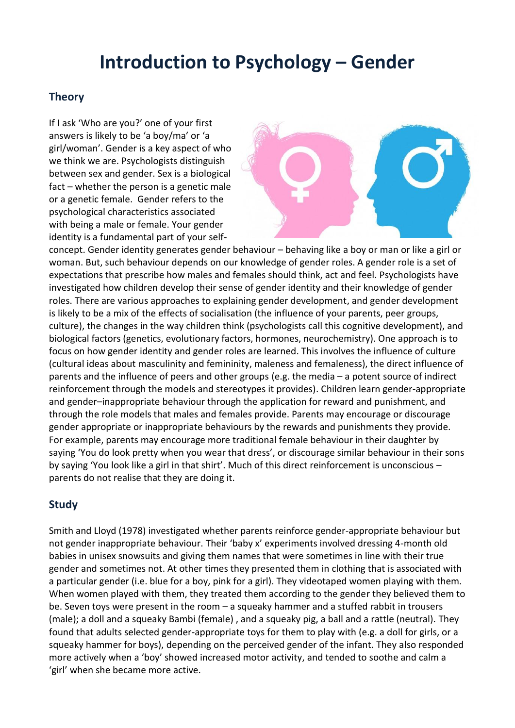## **Introduction to Psychology – Gender**

## **Theory**

If I ask 'Who are you?' one of your first answers is likely to be 'a boy/ma' or 'a girl/woman'. Gender is a key aspect of who we think we are. Psychologists distinguish between sex and gender. Sex is a biological fact – whether the person is a genetic male or a genetic female. Gender refers to the psychological characteristics associated with being a male or female. Your gender identity is a fundamental part of your self-



concept. Gender identity generates gender behaviour – behaving like a boy or man or like a girl or woman. But, such behaviour depends on our knowledge of gender roles. A gender role is a set of expectations that prescribe how males and females should think, act and feel. Psychologists have investigated how children develop their sense of gender identity and their knowledge of gender roles. There are various approaches to explaining gender development, and gender development is likely to be a mix of the effects of socialisation (the influence of your parents, peer groups, culture), the changes in the way children think (psychologists call this cognitive development), and biological factors (genetics, evolutionary factors, hormones, neurochemistry). One approach is to focus on how gender identity and gender roles are learned. This involves the influence of culture (cultural ideas about masculinity and femininity, maleness and femaleness), the direct influence of parents and the influence of peers and other groups (e.g. the media – a potent source of indirect reinforcement through the models and stereotypes it provides). Children learn gender-appropriate and gender–inappropriate behaviour through the application for reward and punishment, and through the role models that males and females provide. Parents may encourage or discourage gender appropriate or inappropriate behaviours by the rewards and punishments they provide. For example, parents may encourage more traditional female behaviour in their daughter by saying 'You do look pretty when you wear that dress', or discourage similar behaviour in their sons by saying 'You look like a girl in that shirt'. Much of this direct reinforcement is unconscious – parents do not realise that they are doing it.

## **Study**

Smith and Lloyd (1978) investigated whether parents reinforce gender-appropriate behaviour but not gender inappropriate behaviour. Their 'baby x' experiments involved dressing 4-month old babies in unisex snowsuits and giving them names that were sometimes in line with their true gender and sometimes not. At other times they presented them in clothing that is associated with a particular gender (i.e. blue for a boy, pink for a girl). They videotaped women playing with them. When women played with them, they treated them according to the gender they believed them to be. Seven toys were present in the room – a squeaky hammer and a stuffed rabbit in trousers (male); a doll and a squeaky Bambi (female) , and a squeaky pig, a ball and a rattle (neutral). They found that adults selected gender-appropriate toys for them to play with (e.g. a doll for girls, or a squeaky hammer for boys), depending on the perceived gender of the infant. They also responded more actively when a 'boy' showed increased motor activity, and tended to soothe and calm a 'girl' when she became more active.